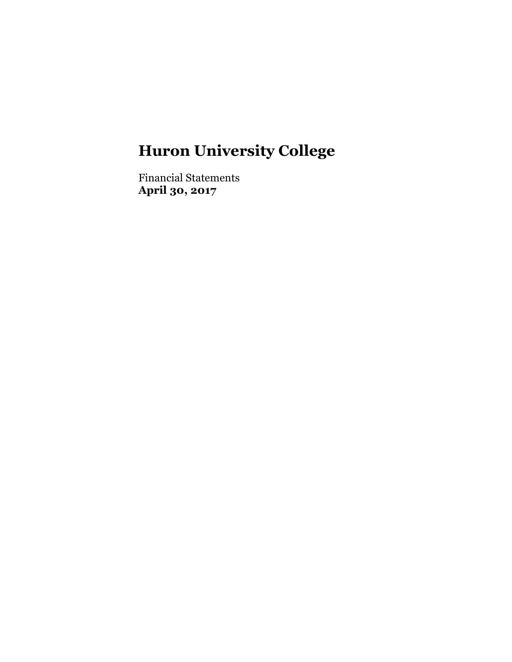Financial Statements **April 30, 2017**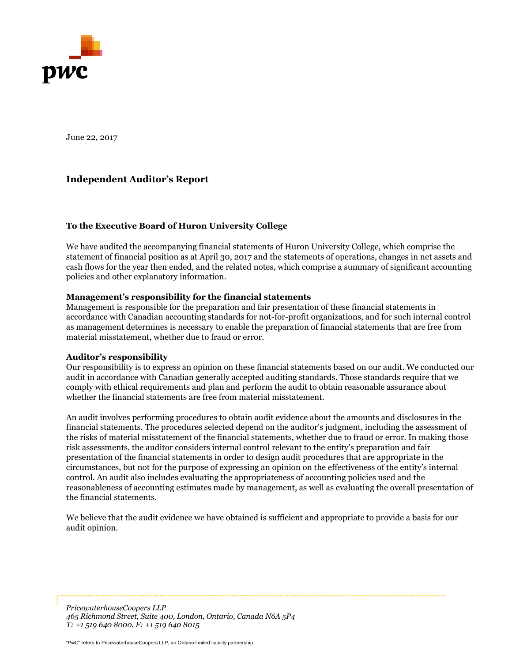

June 22, 2017

## **Independent Auditor's Report**

#### **To the Executive Board of Huron University College**

We have audited the accompanying financial statements of Huron University College, which comprise the statement of financial position as at April 30, 2017 and the statements of operations, changes in net assets and cash flows for the year then ended, and the related notes, which comprise a summary of significant accounting policies and other explanatory information.

#### **Management's responsibility for the financial statements**

Management is responsible for the preparation and fair presentation of these financial statements in accordance with Canadian accounting standards for not-for-profit organizations, and for such internal control as management determines is necessary to enable the preparation of financial statements that are free from material misstatement, whether due to fraud or error.

#### **Auditor's responsibility**

Our responsibility is to express an opinion on these financial statements based on our audit. We conducted our audit in accordance with Canadian generally accepted auditing standards. Those standards require that we comply with ethical requirements and plan and perform the audit to obtain reasonable assurance about whether the financial statements are free from material misstatement.

An audit involves performing procedures to obtain audit evidence about the amounts and disclosures in the financial statements. The procedures selected depend on the auditor's judgment, including the assessment of the risks of material misstatement of the financial statements, whether due to fraud or error. In making those risk assessments, the auditor considers internal control relevant to the entity's preparation and fair presentation of the financial statements in order to design audit procedures that are appropriate in the circumstances, but not for the purpose of expressing an opinion on the effectiveness of the entity's internal control. An audit also includes evaluating the appropriateness of accounting policies used and the reasonableness of accounting estimates made by management, as well as evaluating the overall presentation of the financial statements.

We believe that the audit evidence we have obtained is sufficient and appropriate to provide a basis for our audit opinion.

"PwC" refers to PricewaterhouseCoopers LLP, an Ontario limited liability partnership. *465 Richmond Street, Suite 400, London, Ontario, Canada N6A 5P4 PricewaterhouseCoopers LLP T: +1 519 640 8000, F: +1 519 640 8015* 

"PwC" refers to PricewaterhouseCoopers LLP, an Ontario limited liability partnership.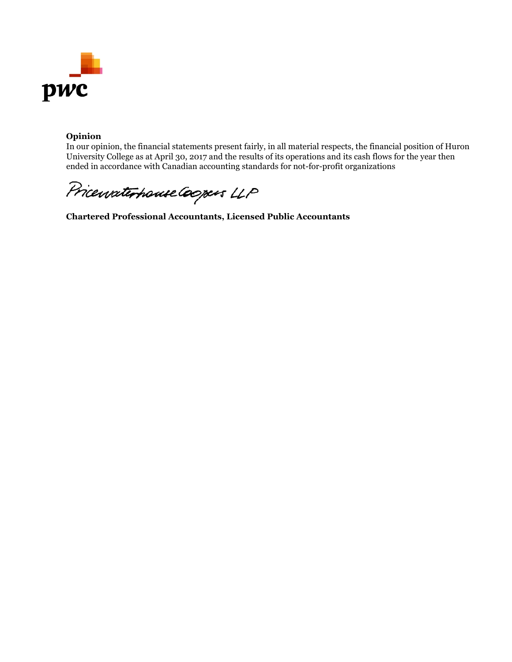

### **Opinion**

In our opinion, the financial statements present fairly, in all material respects, the financial position of Huron University College as at April 30, 2017 and the results of its operations and its cash flows for the year then ended in accordance with Canadian accounting standards for not-for-profit organizations

Pricewaterhouse Coopers LLP

**Chartered Professional Accountants, Licensed Public Accountants**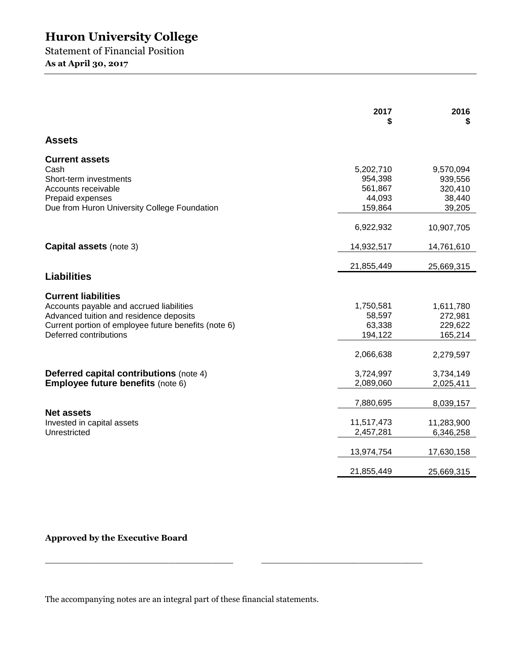Statement of Financial Position **As at April 30, 2017** 

|                                                                                                                                                                                                     | 2017                                                 | 2016<br>S                                           |
|-----------------------------------------------------------------------------------------------------------------------------------------------------------------------------------------------------|------------------------------------------------------|-----------------------------------------------------|
| <b>Assets</b>                                                                                                                                                                                       |                                                      |                                                     |
| <b>Current assets</b><br>Cash<br>Short-term investments<br>Accounts receivable<br>Prepaid expenses<br>Due from Huron University College Foundation                                                  | 5,202,710<br>954,398<br>561,867<br>44,093<br>159,864 | 9,570,094<br>939,556<br>320,410<br>38,440<br>39,205 |
|                                                                                                                                                                                                     | 6,922,932                                            | 10,907,705                                          |
| <b>Capital assets (note 3)</b>                                                                                                                                                                      | 14,932,517                                           | 14,761,610                                          |
|                                                                                                                                                                                                     | 21,855,449                                           | 25,669,315                                          |
| <b>Liabilities</b>                                                                                                                                                                                  |                                                      |                                                     |
| <b>Current liabilities</b><br>Accounts payable and accrued liabilities<br>Advanced tuition and residence deposits<br>Current portion of employee future benefits (note 6)<br>Deferred contributions | 1,750,581<br>58,597<br>63,338<br>194,122             | 1,611,780<br>272,981<br>229,622<br>165,214          |
|                                                                                                                                                                                                     | 2,066,638                                            | 2,279,597                                           |
| <b>Deferred capital contributions (note 4)</b><br><b>Employee future benefits (note 6)</b>                                                                                                          | 3,724,997<br>2,089,060                               | 3,734,149<br>2,025,411                              |
|                                                                                                                                                                                                     | 7,880,695                                            | 8,039,157                                           |
| <b>Net assets</b><br>Invested in capital assets<br>Unrestricted                                                                                                                                     | 11,517,473<br>2,457,281                              | 11,283,900<br>6,346,258                             |
|                                                                                                                                                                                                     | 13,974,754                                           | 17,630,158                                          |
|                                                                                                                                                                                                     | 21,855,449                                           | 25,669,315                                          |

**Approved by the Executive Board** 

The accompanying notes are an integral part of these financial statements.

 $\_$  , and the set of the set of the set of the set of the set of the set of the set of the set of the set of the set of the set of the set of the set of the set of the set of the set of the set of the set of the set of th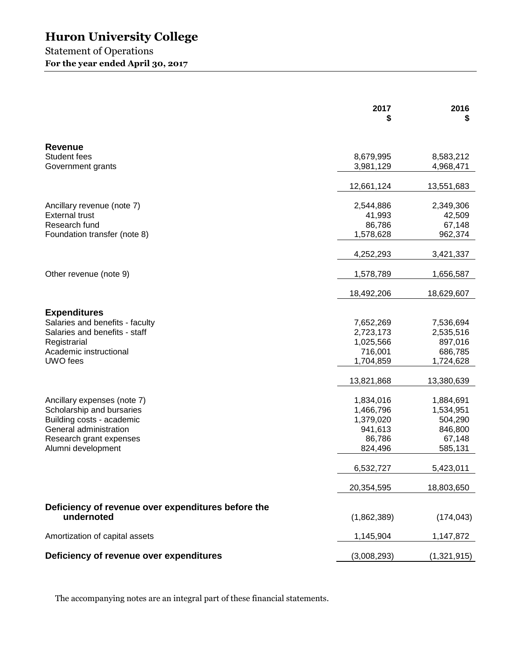## Statement of Operations **For the year ended April 30, 2017**

|                                                        | 2017        | 2016<br>S   |
|--------------------------------------------------------|-------------|-------------|
| <b>Revenue</b>                                         |             |             |
| Student fees                                           | 8,679,995   | 8,583,212   |
| Government grants                                      | 3,981,129   | 4,968,471   |
|                                                        | 12,661,124  | 13,551,683  |
| Ancillary revenue (note 7)                             | 2,544,886   | 2,349,306   |
| <b>External trust</b>                                  | 41,993      | 42,509      |
| Research fund                                          | 86,786      | 67,148      |
| Foundation transfer (note 8)                           | 1,578,628   | 962,374     |
|                                                        | 4,252,293   | 3,421,337   |
| Other revenue (note 9)                                 | 1,578,789   | 1,656,587   |
|                                                        | 18,492,206  | 18,629,607  |
|                                                        |             |             |
| <b>Expenditures</b><br>Salaries and benefits - faculty | 7,652,269   | 7,536,694   |
| Salaries and benefits - staff                          | 2,723,173   | 2,535,516   |
| Registrarial                                           | 1,025,566   | 897,016     |
| Academic instructional                                 | 716,001     | 686,785     |
| UWO fees                                               | 1,704,859   | 1,724,628   |
|                                                        | 13,821,868  | 13,380,639  |
| Ancillary expenses (note 7)                            | 1,834,016   | 1,884,691   |
| Scholarship and bursaries                              | 1,466,796   | 1,534,951   |
| Building costs - academic                              | 1,379,020   | 504,290     |
| General administration                                 | 941,613     | 846,800     |
| Research grant expenses                                | 86,786      | 67,148      |
| Alumni development                                     | 824,496     | 585,131     |
|                                                        | 6,532,727   | 5,423,011   |
|                                                        | 20,354,595  | 18,803,650  |
| Deficiency of revenue over expenditures before the     |             |             |
| undernoted                                             | (1,862,389) | (174, 043)  |
| Amortization of capital assets                         | 1,145,904   | 1,147,872   |
| Deficiency of revenue over expenditures                | (3,008,293) | (1,321,915) |

The accompanying notes are an integral part of these financial statements.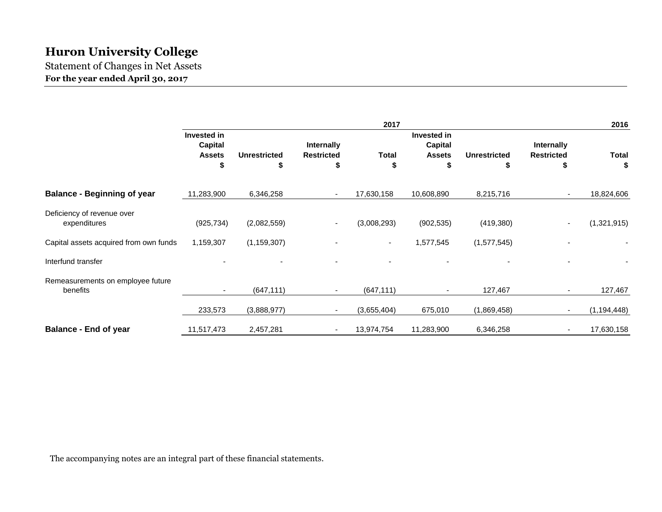Statement of Changes in Net Assets **For the year ended April 30, 2017** 

|                                               |                                                      |                           |                                              | 2017               |                                                     |                          |                                              | 2016               |
|-----------------------------------------------|------------------------------------------------------|---------------------------|----------------------------------------------|--------------------|-----------------------------------------------------|--------------------------|----------------------------------------------|--------------------|
|                                               | Invested in<br><b>Capital</b><br><b>Assets</b><br>\$ | <b>Unrestricted</b><br>\$ | <b>Internally</b><br><b>Restricted</b><br>\$ | <b>Total</b><br>\$ | Invested in<br><b>Capital</b><br><b>Assets</b><br>S | <b>Unrestricted</b><br>S | <b>Internally</b><br><b>Restricted</b><br>\$ | <b>Total</b><br>\$ |
| <b>Balance - Beginning of year</b>            | 11,283,900                                           | 6,346,258                 | $\overline{\phantom{a}}$                     | 17,630,158         | 10,608,890                                          | 8,215,716                | $\sim$                                       | 18,824,606         |
| Deficiency of revenue over<br>expenditures    | (925, 734)                                           | (2,082,559)               | $\overline{\phantom{a}}$                     | (3,008,293)        | (902, 535)                                          | (419, 380)               |                                              | (1,321,915)        |
| Capital assets acquired from own funds        | 1,159,307                                            | (1, 159, 307)             |                                              | $\sim$             | 1,577,545                                           | (1,577,545)              |                                              |                    |
| Interfund transfer                            |                                                      |                           |                                              |                    |                                                     |                          |                                              |                    |
| Remeasurements on employee future<br>benefits |                                                      | (647, 111)                |                                              | (647, 111)         | $\overline{\phantom{a}}$                            | 127,467                  |                                              | 127,467            |
|                                               | 233,573                                              | (3,888,977)               |                                              | (3,655,404)        | 675,010                                             | (1,869,458)              |                                              | (1, 194, 448)      |
| <b>Balance - End of year</b>                  | 11,517,473                                           | 2,457,281                 | ٠                                            | 13,974,754         | 11,283,900                                          | 6,346,258                |                                              | 17,630,158         |

The accompanying notes are an integral part of these financial statements.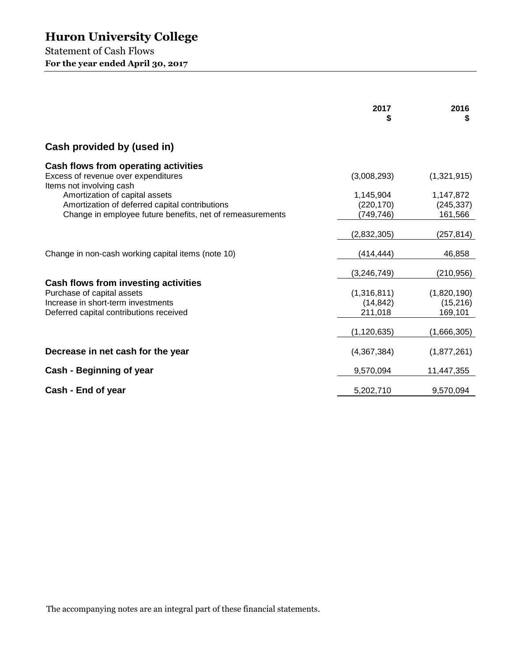Statement of Cash Flows **For the year ended April 30, 2017** 

|                                                                                                                                                     | 2017<br>S                            | 2016<br>\$                         |
|-----------------------------------------------------------------------------------------------------------------------------------------------------|--------------------------------------|------------------------------------|
| Cash provided by (used in)                                                                                                                          |                                      |                                    |
| Cash flows from operating activities<br>Excess of revenue over expenditures<br>Items not involving cash                                             | (3,008,293)                          | (1,321,915)                        |
| Amortization of capital assets<br>Amortization of deferred capital contributions<br>Change in employee future benefits, net of remeasurements       | 1,145,904<br>(220, 170)<br>(749,746) | 1,147,872<br>(245, 337)<br>161,566 |
|                                                                                                                                                     | (2,832,305)                          | (257,814)                          |
| Change in non-cash working capital items (note 10)                                                                                                  | (414,444)                            | 46,858                             |
|                                                                                                                                                     | (3, 246, 749)                        | (210, 956)                         |
| Cash flows from investing activities<br>Purchase of capital assets<br>Increase in short-term investments<br>Deferred capital contributions received | (1,316,811)<br>(14, 842)<br>211,018  | (1,820,190)<br>(15,216)<br>169,101 |
|                                                                                                                                                     | (1, 120, 635)                        | (1,666,305)                        |
| Decrease in net cash for the year                                                                                                                   | (4,367,384)                          | (1,877,261)                        |
| Cash - Beginning of year                                                                                                                            | 9,570,094                            | 11,447,355                         |
| Cash - End of year                                                                                                                                  | 5,202,710                            | 9,570,094                          |

The accompanying notes are an integral part of these financial statements.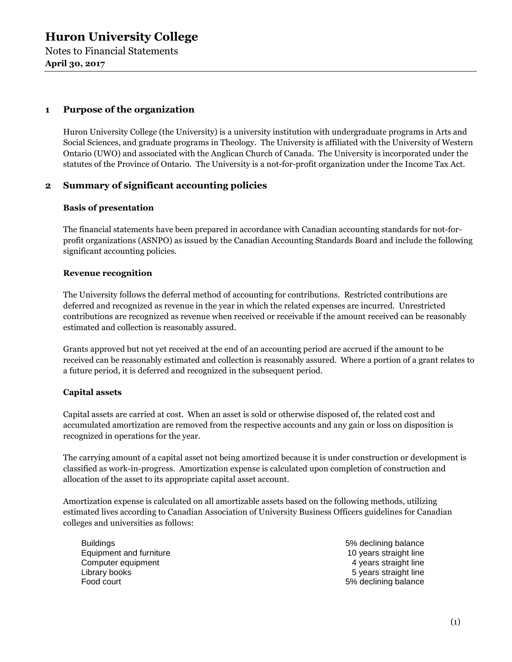Notes to Financial Statements **April 30, 2017** 

## **1 Purpose of the organization**

Huron University College (the University) is a university institution with undergraduate programs in Arts and Social Sciences, and graduate programs in Theology. The University is affiliated with the University of Western Ontario (UWO) and associated with the Anglican Church of Canada. The University is incorporated under the statutes of the Province of Ontario. The University is a not-for-profit organization under the Income Tax Act.

## **2 Summary of significant accounting policies**

#### **Basis of presentation**

The financial statements have been prepared in accordance with Canadian accounting standards for not-forprofit organizations (ASNPO) as issued by the Canadian Accounting Standards Board and include the following significant accounting policies.

#### **Revenue recognition**

The University follows the deferral method of accounting for contributions. Restricted contributions are deferred and recognized as revenue in the year in which the related expenses are incurred. Unrestricted contributions are recognized as revenue when received or receivable if the amount received can be reasonably estimated and collection is reasonably assured.

Grants approved but not yet received at the end of an accounting period are accrued if the amount to be received can be reasonably estimated and collection is reasonably assured. Where a portion of a grant relates to a future period, it is deferred and recognized in the subsequent period.

#### **Capital assets**

Capital assets are carried at cost. When an asset is sold or otherwise disposed of, the related cost and accumulated amortization are removed from the respective accounts and any gain or loss on disposition is recognized in operations for the year.

The carrying amount of a capital asset not being amortized because it is under construction or development is classified as work-in-progress. Amortization expense is calculated upon completion of construction and allocation of the asset to its appropriate capital asset account.

Amortization expense is calculated on all amortizable assets based on the following methods, utilizing estimated lives according to Canadian Association of University Business Officers guidelines for Canadian colleges and universities as follows:

Buildings **5% declining balance** Equipment and furniture 10 years straight line Computer equipment **6** and the computer equipment  $\alpha$  years straight line Library books **5** years straight line Food court **Food court** 6% declining balance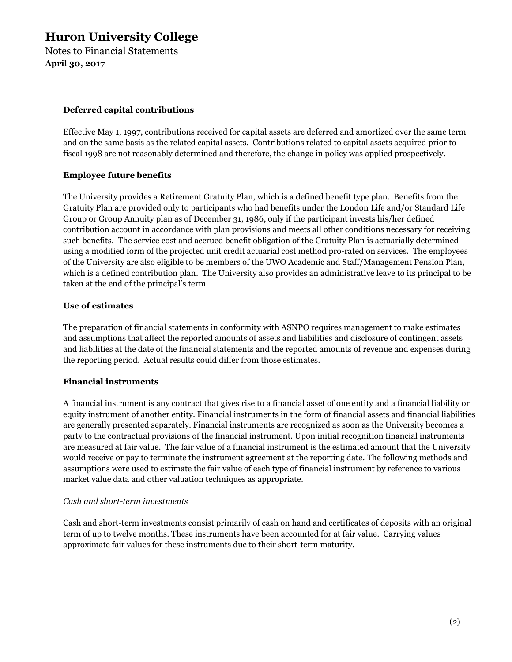#### **Deferred capital contributions**

Effective May 1, 1997, contributions received for capital assets are deferred and amortized over the same term and on the same basis as the related capital assets. Contributions related to capital assets acquired prior to fiscal 1998 are not reasonably determined and therefore, the change in policy was applied prospectively.

## **Employee future benefits**

The University provides a Retirement Gratuity Plan, which is a defined benefit type plan. Benefits from the Gratuity Plan are provided only to participants who had benefits under the London Life and/or Standard Life Group or Group Annuity plan as of December 31, 1986, only if the participant invests his/her defined contribution account in accordance with plan provisions and meets all other conditions necessary for receiving such benefits. The service cost and accrued benefit obligation of the Gratuity Plan is actuarially determined using a modified form of the projected unit credit actuarial cost method pro-rated on services. The employees of the University are also eligible to be members of the UWO Academic and Staff/Management Pension Plan, which is a defined contribution plan. The University also provides an administrative leave to its principal to be taken at the end of the principal's term.

#### **Use of estimates**

The preparation of financial statements in conformity with ASNPO requires management to make estimates and assumptions that affect the reported amounts of assets and liabilities and disclosure of contingent assets and liabilities at the date of the financial statements and the reported amounts of revenue and expenses during the reporting period. Actual results could differ from those estimates.

## **Financial instruments**

A financial instrument is any contract that gives rise to a financial asset of one entity and a financial liability or equity instrument of another entity. Financial instruments in the form of financial assets and financial liabilities are generally presented separately. Financial instruments are recognized as soon as the University becomes a party to the contractual provisions of the financial instrument. Upon initial recognition financial instruments are measured at fair value. The fair value of a financial instrument is the estimated amount that the University would receive or pay to terminate the instrument agreement at the reporting date. The following methods and assumptions were used to estimate the fair value of each type of financial instrument by reference to various market value data and other valuation techniques as appropriate.

#### *Cash and short-term investments*

Cash and short-term investments consist primarily of cash on hand and certificates of deposits with an original term of up to twelve months. These instruments have been accounted for at fair value. Carrying values approximate fair values for these instruments due to their short-term maturity.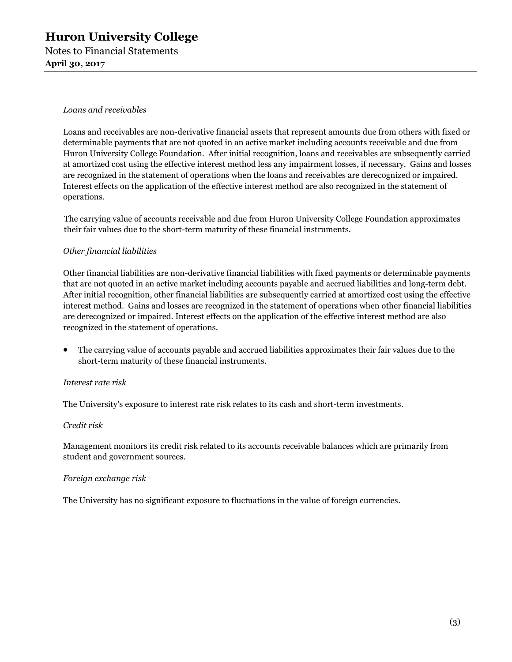## **Huron University College**  Notes to Financial Statements **April 30, 2017**

#### *Loans and receivables*

Loans and receivables are non-derivative financial assets that represent amounts due from others with fixed or determinable payments that are not quoted in an active market including accounts receivable and due from Huron University College Foundation. After initial recognition, loans and receivables are subsequently carried at amortized cost using the effective interest method less any impairment losses, if necessary. Gains and losses are recognized in the statement of operations when the loans and receivables are derecognized or impaired. Interest effects on the application of the effective interest method are also recognized in the statement of operations.

The carrying value of accounts receivable and due from Huron University College Foundation approximates their fair values due to the short-term maturity of these financial instruments.

#### *Other financial liabilities*

Other financial liabilities are non-derivative financial liabilities with fixed payments or determinable payments that are not quoted in an active market including accounts payable and accrued liabilities and long-term debt. After initial recognition, other financial liabilities are subsequently carried at amortized cost using the effective interest method. Gains and losses are recognized in the statement of operations when other financial liabilities are derecognized or impaired. Interest effects on the application of the effective interest method are also recognized in the statement of operations.

• The carrying value of accounts payable and accrued liabilities approximates their fair values due to the short-term maturity of these financial instruments.

#### *Interest rate risk*

The University's exposure to interest rate risk relates to its cash and short-term investments.

#### *Credit risk*

Management monitors its credit risk related to its accounts receivable balances which are primarily from student and government sources.

#### *Foreign exchange risk*

The University has no significant exposure to fluctuations in the value of foreign currencies.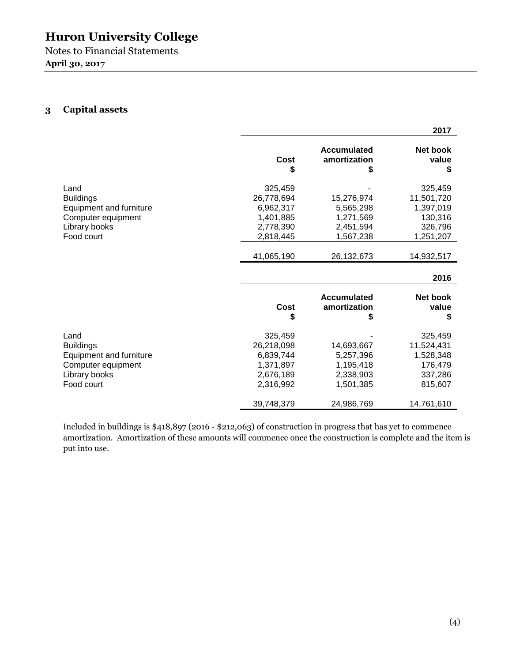Notes to Financial Statements **April 30, 2017** 

## **3 Capital assets**

|                         |            |                                         | 2017                    |
|-------------------------|------------|-----------------------------------------|-------------------------|
|                         | Cost<br>S  | Accumulated<br>amortization<br>S        | Net book<br>value<br>\$ |
| Land                    | 325,459    |                                         | 325,459                 |
| <b>Buildings</b>        | 26,778,694 | 15,276,974                              | 11,501,720              |
| Equipment and furniture | 6,962,317  | 5,565,298                               | 1,397,019               |
| Computer equipment      | 1,401,885  | 1,271,569                               | 130,316                 |
| Library books           | 2,778,390  | 2,451,594                               | 326,796                 |
| Food court              | 2,818,445  | 1,567,238                               | 1,251,207               |
|                         | 41,065,190 | 26,132,673                              | 14,932,517              |
|                         |            |                                         | 2016                    |
|                         | Cost<br>\$ | <b>Accumulated</b><br>amortization<br>S | Net book<br>value<br>S  |
| Land                    | 325,459    |                                         | 325,459                 |
| <b>Buildings</b>        | 26,218,098 | 14,693,667                              | 11,524,431              |
| Equipment and furniture | 6,839,744  | 5,257,396                               | 1,528,348               |
| Computer equipment      | 1,371,897  | 1,195,418                               | 176,479                 |
| Library books           | 2,676,189  | 2,338,903                               | 337,286                 |
| Food court              | 2,316,992  | 1,501,385                               | 815,607                 |
|                         | 39,748,379 | 24,986,769                              | 14,761,610              |

Included in buildings is \$418,897 (2016 - \$212,063) of construction in progress that has yet to commence amortization. Amortization of these amounts will commence once the construction is complete and the item is put into use.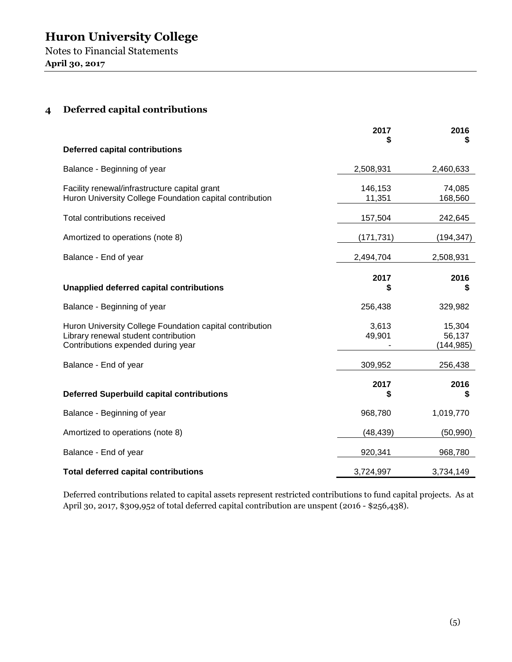Notes to Financial Statements **April 30, 2017** 

## **4 Deferred capital contributions**

|                                                                                                                                        | 2017              | 2016<br>S                      |
|----------------------------------------------------------------------------------------------------------------------------------------|-------------------|--------------------------------|
| <b>Deferred capital contributions</b>                                                                                                  |                   |                                |
| Balance - Beginning of year                                                                                                            | 2,508,931         | 2,460,633                      |
| Facility renewal/infrastructure capital grant<br>Huron University College Foundation capital contribution                              | 146,153<br>11,351 | 74,085<br>168,560              |
| Total contributions received                                                                                                           | 157,504           | 242,645                        |
| Amortized to operations (note 8)                                                                                                       | (171, 731)        | (194, 347)                     |
| Balance - End of year                                                                                                                  | 2,494,704         | 2,508,931                      |
| Unapplied deferred capital contributions                                                                                               | 2017<br>S         | 2016<br>S                      |
| Balance - Beginning of year                                                                                                            | 256,438           | 329,982                        |
| Huron University College Foundation capital contribution<br>Library renewal student contribution<br>Contributions expended during year | 3,613<br>49,901   | 15,304<br>56,137<br>(144, 985) |
| Balance - End of year                                                                                                                  | 309,952           | 256,438                        |
| <b>Deferred Superbuild capital contributions</b>                                                                                       | 2017<br>\$        | 2016<br>\$                     |
| Balance - Beginning of year                                                                                                            | 968,780           | 1,019,770                      |
| Amortized to operations (note 8)                                                                                                       | (48, 439)         | (50, 990)                      |
| Balance - End of year                                                                                                                  | 920,341           | 968,780                        |
| <b>Total deferred capital contributions</b>                                                                                            | 3,724,997         | 3,734,149                      |

Deferred contributions related to capital assets represent restricted contributions to fund capital projects. As at April 30, 2017, \$309,952 of total deferred capital contribution are unspent (2016 - \$256,438).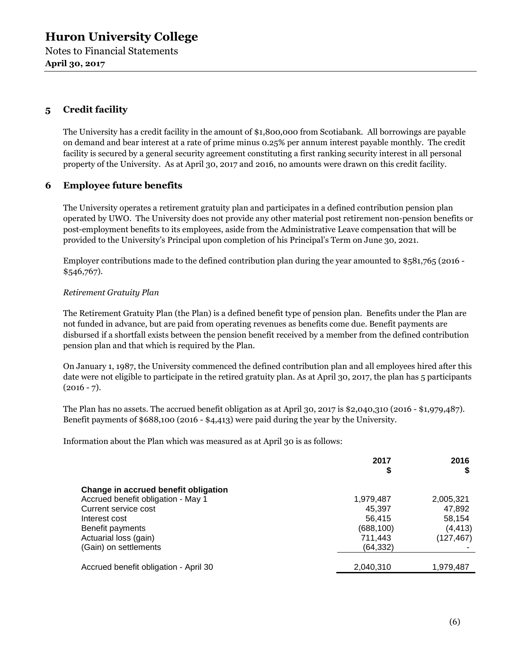**April 30, 2017** 

## **5 Credit facility**

The University has a credit facility in the amount of \$1,800,000 from Scotiabank. All borrowings are payable on demand and bear interest at a rate of prime minus 0.25% per annum interest payable monthly. The credit facility is secured by a general security agreement constituting a first ranking security interest in all personal property of the University. As at April 30, 2017 and 2016, no amounts were drawn on this credit facility.

## **6 Employee future benefits**

The University operates a retirement gratuity plan and participates in a defined contribution pension plan operated by UWO. The University does not provide any other material post retirement non-pension benefits or post-employment benefits to its employees, aside from the Administrative Leave compensation that will be provided to the University's Principal upon completion of his Principal's Term on June 30, 2021.

Employer contributions made to the defined contribution plan during the year amounted to \$581,765 (2016 - \$546,767).

#### *Retirement Gratuity Plan*

The Retirement Gratuity Plan (the Plan) is a defined benefit type of pension plan. Benefits under the Plan are not funded in advance, but are paid from operating revenues as benefits come due. Benefit payments are disbursed if a shortfall exists between the pension benefit received by a member from the defined contribution pension plan and that which is required by the Plan.

On January 1, 1987, the University commenced the defined contribution plan and all employees hired after this date were not eligible to participate in the retired gratuity plan. As at April 30, 2017, the plan has 5 participants  $(2016 - 7)$ .

The Plan has no assets. The accrued benefit obligation as at April 30, 2017 is \$2,040,310 (2016 - \$1,979,487). Benefit payments of \$688,100 (2016 - \$4,413) were paid during the year by the University.

Information about the Plan which was measured as at April 30 is as follows:

|                                       | 2017       | 2016       |
|---------------------------------------|------------|------------|
| Change in accrued benefit obligation  |            |            |
| Accrued benefit obligation - May 1    | 1,979,487  | 2,005,321  |
| Current service cost                  | 45.397     | 47,892     |
| Interest cost                         | 56.415     | 58,154     |
| Benefit payments                      | (688, 100) | (4, 413)   |
| Actuarial loss (gain)                 | 711.443    | (127, 467) |
| (Gain) on settlements                 | (64, 332)  |            |
| Accrued benefit obligation - April 30 | 2,040,310  | 1,979,487  |
|                                       |            |            |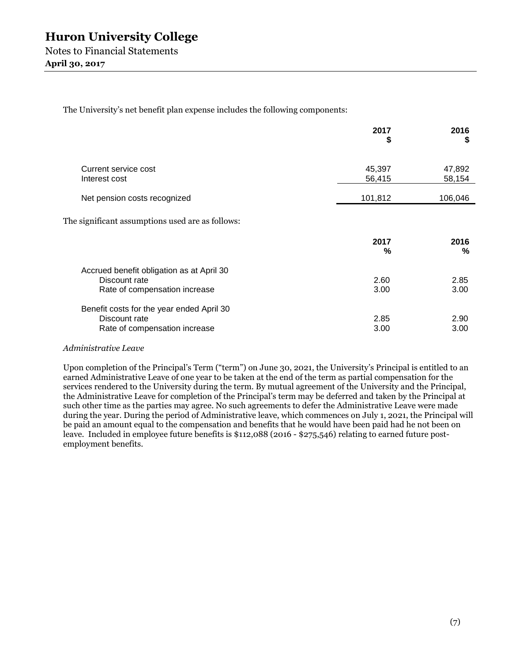The University's net benefit plan expense includes the following components:

|                                                                                             | 2017<br>\$       | 2016<br>S        |
|---------------------------------------------------------------------------------------------|------------------|------------------|
| Current service cost<br>Interest cost                                                       | 45,397<br>56,415 | 47,892<br>58,154 |
| Net pension costs recognized                                                                | 101,812          | 106,046          |
| The significant assumptions used are as follows:                                            |                  |                  |
|                                                                                             | 2017<br>%        | 2016<br>%        |
| Accrued benefit obligation as at April 30<br>Discount rate<br>Rate of compensation increase | 2.60<br>3.00     | 2.85<br>3.00     |
| Benefit costs for the year ended April 30<br>Discount rate<br>Rate of compensation increase | 2.85<br>3.00     | 2.90<br>3.00     |

#### *Administrative Leave*

Upon completion of the Principal's Term ("term") on June 30, 2021, the University's Principal is entitled to an earned Administrative Leave of one year to be taken at the end of the term as partial compensation for the services rendered to the University during the term. By mutual agreement of the University and the Principal, the Administrative Leave for completion of the Principal's term may be deferred and taken by the Principal at such other time as the parties may agree. No such agreements to defer the Administrative Leave were made during the year. During the period of Administrative leave, which commences on July 1, 2021, the Principal will be paid an amount equal to the compensation and benefits that he would have been paid had he not been on leave. Included in employee future benefits is \$112,088 (2016 - \$275,546) relating to earned future postemployment benefits.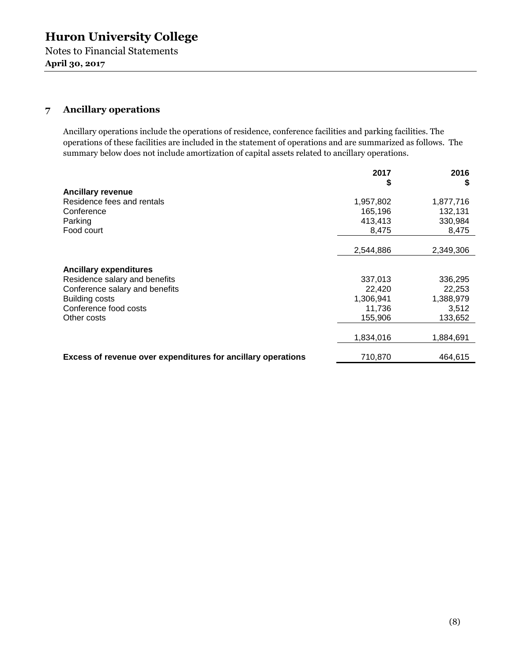Notes to Financial Statements **April 30, 2017** 

## **7 Ancillary operations**

Ancillary operations include the operations of residence, conference facilities and parking facilities. The operations of these facilities are included in the statement of operations and are summarized as follows. The summary below does not include amortization of capital assets related to ancillary operations.

|                                                              | 2017      | 2016      |
|--------------------------------------------------------------|-----------|-----------|
|                                                              | \$        | S         |
| <b>Ancillary revenue</b><br>Residence fees and rentals       | 1,957,802 | 1,877,716 |
| Conference                                                   | 165,196   | 132,131   |
| Parking                                                      | 413,413   | 330,984   |
| Food court                                                   | 8,475     | 8,475     |
|                                                              |           |           |
|                                                              | 2,544,886 | 2,349,306 |
|                                                              |           |           |
| <b>Ancillary expenditures</b>                                |           |           |
| Residence salary and benefits                                | 337,013   | 336,295   |
| Conference salary and benefits                               | 22,420    | 22,253    |
| <b>Building costs</b>                                        | 1,306,941 | 1,388,979 |
| Conference food costs                                        | 11,736    | 3,512     |
| Other costs                                                  | 155,906   | 133,652   |
|                                                              |           |           |
|                                                              | 1,834,016 | 1,884,691 |
|                                                              |           |           |
| Excess of revenue over expenditures for ancillary operations | 710,870   | 464.615   |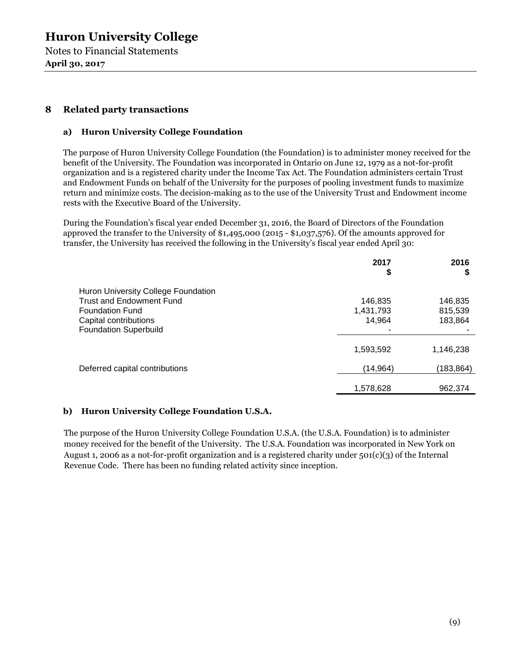Notes to Financial Statements **April 30, 2017** 

## **8 Related party transactions**

### **a) Huron University College Foundation**

The purpose of Huron University College Foundation (the Foundation) is to administer money received for the benefit of the University. The Foundation was incorporated in Ontario on June 12, 1979 as a not-for-profit organization and is a registered charity under the Income Tax Act. The Foundation administers certain Trust and Endowment Funds on behalf of the University for the purposes of pooling investment funds to maximize return and minimize costs. The decision-making as to the use of the University Trust and Endowment income rests with the Executive Board of the University.

During the Foundation's fiscal year ended December 31, 2016, the Board of Directors of the Foundation approved the transfer to the University of \$1,495,000 (2015 - \$1,037,576). Of the amounts approved for transfer, the University has received the following in the University's fiscal year ended April 30:

|                                     | 2017<br>\$ | 2016<br>\$ |
|-------------------------------------|------------|------------|
| Huron University College Foundation |            |            |
| <b>Trust and Endowment Fund</b>     | 146,835    | 146,835    |
| <b>Foundation Fund</b>              | 1,431,793  | 815,539    |
| Capital contributions               | 14,964     | 183,864    |
| <b>Foundation Superbuild</b>        |            |            |
|                                     | 1,593,592  | 1,146,238  |
| Deferred capital contributions      | (14, 964)  | (183,864)  |
|                                     | 1,578,628  | 962,374    |

#### **b) Huron University College Foundation U.S.A.**

The purpose of the Huron University College Foundation U.S.A. (the U.S.A. Foundation) is to administer money received for the benefit of the University. The U.S.A. Foundation was incorporated in New York on August 1, 2006 as a not-for-profit organization and is a registered charity under 501(c)(3) of the Internal Revenue Code. There has been no funding related activity since inception.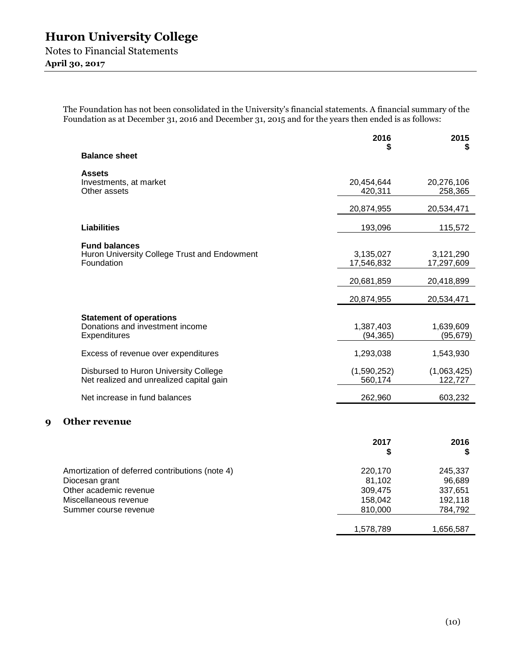**April 30, 2017** 

The Foundation has not been consolidated in the University's financial statements. A financial summary of the Foundation as at December 31, 2016 and December 31, 2015 and for the years then ended is as follows:

|                  |                                                                                    | 2016                    | 2015<br>S               |
|------------------|------------------------------------------------------------------------------------|-------------------------|-------------------------|
|                  | <b>Balance sheet</b>                                                               |                         |                         |
|                  | <b>Assets</b><br>Investments, at market<br>Other assets                            | 20,454,644<br>420,311   | 20,276,106<br>258,365   |
|                  |                                                                                    | 20,874,955              | 20,534,471              |
|                  | <b>Liabilities</b>                                                                 | 193,096                 | 115,572                 |
|                  | <b>Fund balances</b><br>Huron University College Trust and Endowment<br>Foundation | 3,135,027<br>17,546,832 | 3,121,290<br>17,297,609 |
|                  |                                                                                    | 20,681,859              | 20,418,899              |
|                  |                                                                                    | 20,874,955              | 20,534,471              |
|                  | <b>Statement of operations</b><br>Donations and investment income<br>Expenditures  | 1,387,403<br>(94, 365)  | 1,639,609<br>(95, 679)  |
|                  | Excess of revenue over expenditures                                                | 1,293,038               | 1,543,930               |
|                  | Disbursed to Huron University College<br>Net realized and unrealized capital gain  | (1,590,252)<br>560,174  | (1,063,425)<br>122,727  |
|                  | Net increase in fund balances                                                      | 262,960                 | 603,232                 |
| $\boldsymbol{q}$ | <b>Other revenue</b>                                                               |                         |                         |
|                  |                                                                                    | 2017<br>\$              | 2016<br>\$              |
|                  | Amortization of deferred contributions (note 4)<br>Diocesan grant                  | 220,170<br>81,102       | 245,337<br>96,689       |

Other academic revenue 309,475 337,651 Miscellaneous revenue 2008 and the set of the 158,042 192,118

Summer course revenue 810,000 and 784,792 1,578,789 1,656,587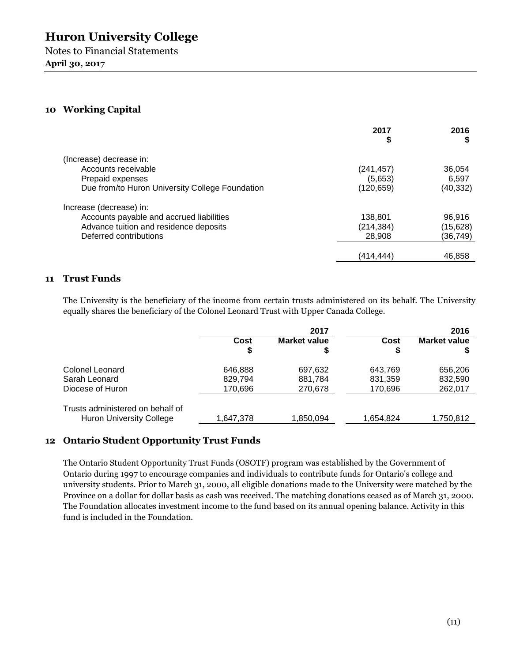Notes to Financial Statements **April 30, 2017** 

## **10 Working Capital**

|                                                 | 2017       | 2016<br>S |
|-------------------------------------------------|------------|-----------|
|                                                 | \$         |           |
| (Increase) decrease in:                         |            |           |
| Accounts receivable                             | (241, 457) | 36,054    |
| Prepaid expenses                                | (5,653)    | 6.597     |
| Due from/to Huron University College Foundation | (120, 659) | (40, 332) |
| Increase (decrease) in:                         |            |           |
| Accounts payable and accrued liabilities        | 138.801    | 96.916    |
| Advance tuition and residence deposits          | (214, 384) | (15, 628) |
| Deferred contributions                          | 28.908     | (36,749)  |
|                                                 | (414,444)  | 46,858    |

## **11 Trust Funds**

The University is the beneficiary of the income from certain trusts administered on its behalf. The University equally shares the beneficiary of the Colonel Leonard Trust with Upper Canada College.

|                                  | 2017       |                    |           | 2016                |
|----------------------------------|------------|--------------------|-----------|---------------------|
|                                  | Cost<br>\$ | Market value<br>\$ | Cost<br>S | <b>Market value</b> |
| Colonel Leonard                  | 646,888    | 697,632            | 643,769   | 656,206             |
| Sarah Leonard                    | 829,794    | 881,784            | 831,359   | 832,590             |
| Diocese of Huron                 | 170,696    | 270,678            | 170,696   | 262,017             |
| Trusts administered on behalf of |            |                    |           |                     |
| <b>Huron University College</b>  | 1,647,378  | 1,850,094          | 1,654,824 | 1,750,812           |

## **12 Ontario Student Opportunity Trust Funds**

The Ontario Student Opportunity Trust Funds (OSOTF) program was established by the Government of Ontario during 1997 to encourage companies and individuals to contribute funds for Ontario's college and university students. Prior to March 31, 2000, all eligible donations made to the University were matched by the Province on a dollar for dollar basis as cash was received. The matching donations ceased as of March 31, 2000. The Foundation allocates investment income to the fund based on its annual opening balance. Activity in this fund is included in the Foundation.